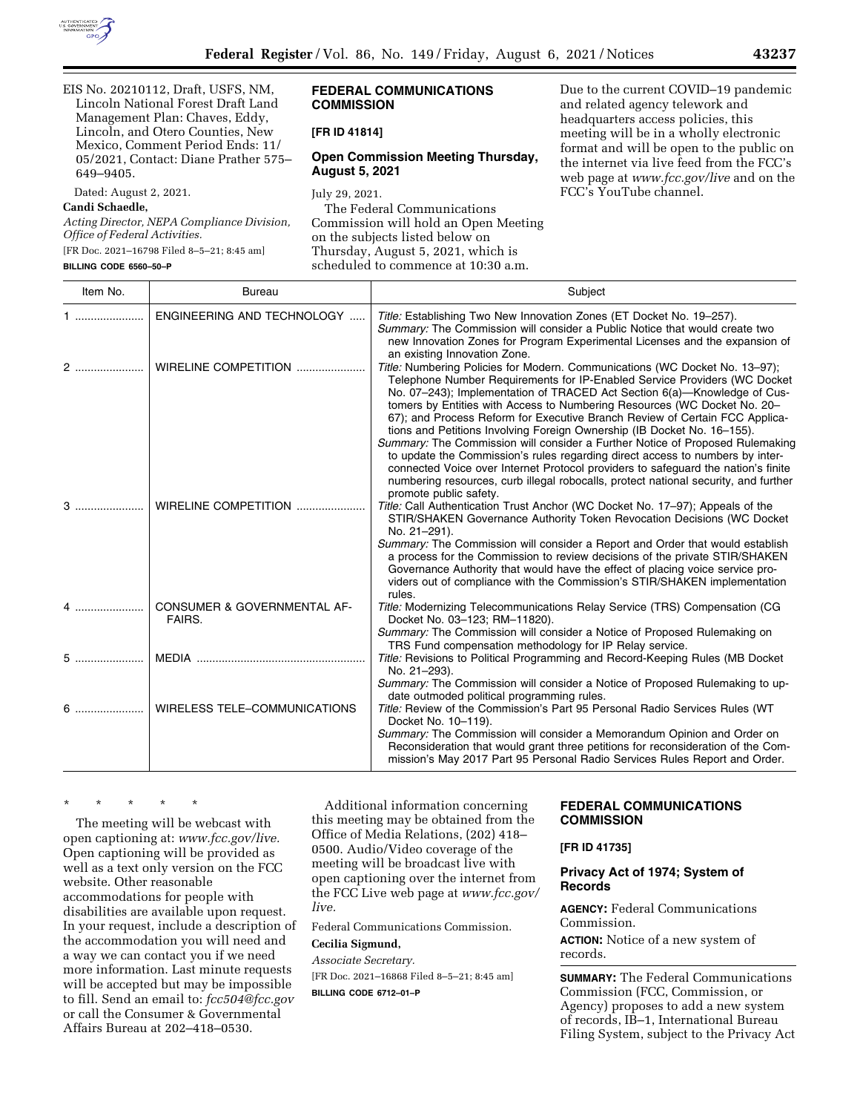

[FR Doc. 2021–16798 Filed 8–5–21; 8:45 am]

**BILLING CODE 6560–50–P** 

| EIS No. 20210112, Draft, USFS, NM,<br>Lincoln National Forest Draft Land<br>Management Plan: Chaves, Eddy, | <b>FEDERAL COMMUNICATIONS</b><br><b>COMMISSION</b>                      | Due to the current COVID-19 pandemic<br>and related agency telework and<br>headquarters access policies, this                           |
|------------------------------------------------------------------------------------------------------------|-------------------------------------------------------------------------|-----------------------------------------------------------------------------------------------------------------------------------------|
| Lincoln, and Otero Counties, New                                                                           | [FR ID 41814]                                                           | meeting will be in a wholly electronic                                                                                                  |
| Mexico, Comment Period Ends: 11/<br>05/2021, Contact: Diane Prather 575-<br>649-9405.                      | <b>Open Commission Meeting Thursday,</b><br><b>August 5, 2021</b>       | format and will be open to the public on<br>the internet via live feed from the FCC's<br>web page at <i>www.fcc.gov/live</i> and on the |
| Dated: August 2, 2021.                                                                                     | July 29, 2021.                                                          | FCC's YouTube channel.                                                                                                                  |
| Candi Schaedle,                                                                                            | The Federal Communications                                              |                                                                                                                                         |
| Acting Director, NEPA Compliance Division,<br>Office of Federal Activities.                                | Commission will hold an Open Meeting<br>on the subjects listed below on |                                                                                                                                         |

Thursday, August 5, 2021, which is scheduled to commence at 10:30 a.m.

| Item No. | <b>Bureau</b>                                | Subject                                                                                                                                                                                                                                                                                                                                                                                                                                                                                                                                                                                                                                                                                                                                                                                                                                                                                                                             |
|----------|----------------------------------------------|-------------------------------------------------------------------------------------------------------------------------------------------------------------------------------------------------------------------------------------------------------------------------------------------------------------------------------------------------------------------------------------------------------------------------------------------------------------------------------------------------------------------------------------------------------------------------------------------------------------------------------------------------------------------------------------------------------------------------------------------------------------------------------------------------------------------------------------------------------------------------------------------------------------------------------------|
|          | ENGINEERING AND TECHNOLOGY                   | Title: Establishing Two New Innovation Zones (ET Docket No. 19-257).<br>Summary: The Commission will consider a Public Notice that would create two<br>new Innovation Zones for Program Experimental Licenses and the expansion of<br>an existing Innovation Zone.                                                                                                                                                                                                                                                                                                                                                                                                                                                                                                                                                                                                                                                                  |
| $2$      | WIRELINE COMPETITION<br>WIRELINE COMPETITION | Title: Numbering Policies for Modern. Communications (WC Docket No. 13–97);<br>Telephone Number Requirements for IP-Enabled Service Providers (WC Docket<br>No. 07–243); Implementation of TRACED Act Section 6(a)—Knowledge of Cus-<br>tomers by Entities with Access to Numbering Resources (WC Docket No. 20-<br>67); and Process Reform for Executive Branch Review of Certain FCC Applica-<br>tions and Petitions Involving Foreign Ownership (IB Docket No. 16-155).<br>Summary: The Commission will consider a Further Notice of Proposed Rulemaking<br>to update the Commission's rules regarding direct access to numbers by inter-<br>connected Voice over Internet Protocol providers to safeguard the nation's finite<br>numbering resources, curb illegal robocalls, protect national security, and further<br>promote public safety.<br>Title: Call Authentication Trust Anchor (WC Docket No. 17-97); Appeals of the |
|          |                                              | STIR/SHAKEN Governance Authority Token Revocation Decisions (WC Docket<br>No. 21-291).<br>Summary: The Commission will consider a Report and Order that would establish<br>a process for the Commission to review decisions of the private STIR/SHAKEN<br>Governance Authority that would have the effect of placing voice service pro-<br>viders out of compliance with the Commission's STIR/SHAKEN implementation<br>rules.                                                                                                                                                                                                                                                                                                                                                                                                                                                                                                      |
| 4        | CONSUMER & GOVERNMENTAL AF-<br>FAIRS.        | Title: Modernizing Telecommunications Relay Service (TRS) Compensation (CG<br>Docket No. 03-123; RM-11820).<br>Summary: The Commission will consider a Notice of Proposed Rulemaking on                                                                                                                                                                                                                                                                                                                                                                                                                                                                                                                                                                                                                                                                                                                                             |
| 5        |                                              | TRS Fund compensation methodology for IP Relay service.<br>Title: Revisions to Political Programming and Record-Keeping Rules (MB Docket<br>No. 21-293).                                                                                                                                                                                                                                                                                                                                                                                                                                                                                                                                                                                                                                                                                                                                                                            |
| $6$      | <b>WIRELESS TELE-COMMUNICATIONS</b>          | Summary: The Commission will consider a Notice of Proposed Rulemaking to up-<br>date outmoded political programming rules.<br>Title: Review of the Commission's Part 95 Personal Radio Services Rules (WT<br>Docket No. 10-119).<br>Summary: The Commission will consider a Memorandum Opinion and Order on<br>Reconsideration that would grant three petitions for reconsideration of the Com-<br>mission's May 2017 Part 95 Personal Radio Services Rules Report and Order.                                                                                                                                                                                                                                                                                                                                                                                                                                                       |

\* \* \* \* \*

The meeting will be webcast with open captioning at: *www.fcc.gov/live.*  Open captioning will be provided as well as a text only version on the FCC website. Other reasonable accommodations for people with disabilities are available upon request. In your request, include a description of the accommodation you will need and a way we can contact you if we need more information. Last minute requests will be accepted but may be impossible to fill. Send an email to: *fcc504@fcc.gov*  or call the Consumer & Governmental Affairs Bureau at 202–418–0530.

Additional information concerning this meeting may be obtained from the Office of Media Relations, (202) 418– 0500. Audio/Video coverage of the meeting will be broadcast live with open captioning over the internet from the FCC Live web page at *www.fcc.gov/ live.* 

Federal Communications Commission.

### **Cecilia Sigmund,**

*Associate Secretary.* 

[FR Doc. 2021–16868 Filed 8–5–21; 8:45 am] **BILLING CODE 6712–01–P** 

# **FEDERAL COMMUNICATIONS COMMISSION**

### **[FR ID 41735]**

# **Privacy Act of 1974; System of Records**

**AGENCY:** Federal Communications Commission.

**ACTION:** Notice of a new system of records.

**SUMMARY:** The Federal Communications Commission (FCC, Commission, or Agency) proposes to add a new system of records, IB–1, International Bureau Filing System, subject to the Privacy Act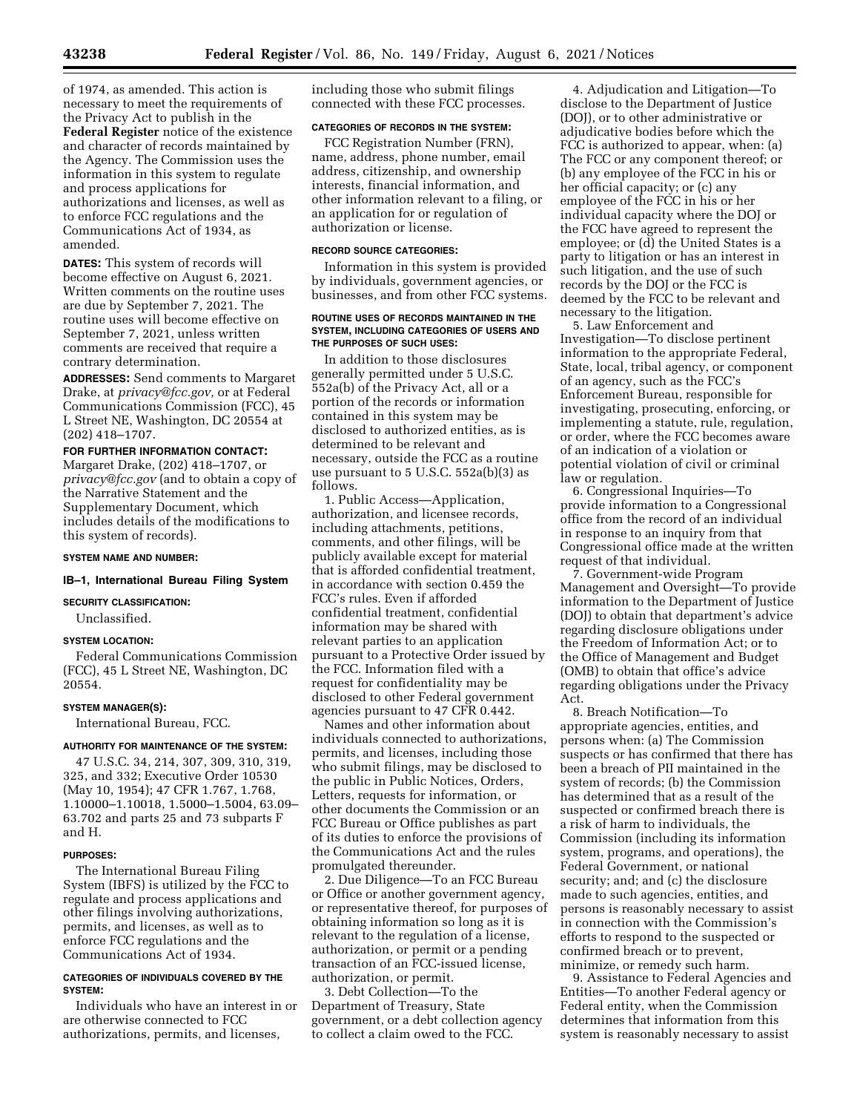of 1974, as amended. This action is necessary to meet the requirements of the Privacy Act to publish in the **Federal Register** notice of the existence and character of records maintained by the Agency. The Commission uses the information in this system to regulate and process applications for authorizations and licenses, as well as to enforce FCC regulations and the Communications Act of 1934, as amended.

**DATES:** This system of records will become effective on August 6, 2021. Written comments on the routine uses are due by September 7, 2021. The routine uses will become effective on September 7, 2021, unless written comments are received that require a contrary determination.

**ADDRESSES:** Send comments to Margaret Drake, at *privacy@fcc.gov,* or at Federal Communications Commission (FCC), 45 L Street NE, Washington, DC 20554 at (202) 418–1707.

#### **FOR FURTHER INFORMATION CONTACT:**

Margaret Drake, (202) 418–1707, or *privacy@fcc.gov* (and to obtain a copy of the Narrative Statement and the Supplementary Document, which includes details of the modifications to this system of records).

#### **SYSTEM NAME AND NUMBER:**

# **IB–1, International Bureau Filing System**

**SECURITY CLASSIFICATION:** 

Unclassified.

#### **SYSTEM LOCATION:**

Federal Communications Commission (FCC), 45 L Street NE, Washington, DC 20554.

#### **SYSTEM MANAGER(S):**

International Bureau, FCC.

#### **AUTHORITY FOR MAINTENANCE OF THE SYSTEM:**

47 U.S.C. 34, 214, 307, 309, 310, 319, 325, and 332; Executive Order 10530 (May 10, 1954); 47 CFR 1.767, 1.768, 1.10000–1.10018, 1.5000–1.5004, 63.09– 63.702 and parts 25 and 73 subparts F and H.

## **PURPOSES:**

The International Bureau Filing System (IBFS) is utilized by the FCC to regulate and process applications and other filings involving authorizations, permits, and licenses, as well as to enforce FCC regulations and the Communications Act of 1934.

### **CATEGORIES OF INDIVIDUALS COVERED BY THE SYSTEM:**

Individuals who have an interest in or are otherwise connected to FCC authorizations, permits, and licenses,

including those who submit filings connected with these FCC processes.

# **CATEGORIES OF RECORDS IN THE SYSTEM:**

FCC Registration Number (FRN), name, address, phone number, email address, citizenship, and ownership interests, financial information, and other information relevant to a filing, or an application for or regulation of authorization or license.

#### **RECORD SOURCE CATEGORIES:**

Information in this system is provided by individuals, government agencies, or businesses, and from other FCC systems.

#### **ROUTINE USES OF RECORDS MAINTAINED IN THE SYSTEM, INCLUDING CATEGORIES OF USERS AND THE PURPOSES OF SUCH USES:**

In addition to those disclosures generally permitted under 5 U.S.C. 552a(b) of the Privacy Act, all or a portion of the records or information contained in this system may be disclosed to authorized entities, as is determined to be relevant and necessary, outside the FCC as a routine use pursuant to 5 U.S.C. 552a(b)(3) as follows.

1. Public Access—Application, authorization, and licensee records, including attachments, petitions, comments, and other filings, will be publicly available except for material that is afforded confidential treatment, in accordance with section 0.459 the FCC's rules. Even if afforded confidential treatment, confidential information may be shared with relevant parties to an application pursuant to a Protective Order issued by the FCC. Information filed with a request for confidentiality may be disclosed to other Federal government agencies pursuant to 47 CFR 0.442.

Names and other information about individuals connected to authorizations, permits, and licenses, including those who submit filings, may be disclosed to the public in Public Notices, Orders, Letters, requests for information, or other documents the Commission or an FCC Bureau or Office publishes as part of its duties to enforce the provisions of the Communications Act and the rules promulgated thereunder.

2. Due Diligence—To an FCC Bureau or Office or another government agency, or representative thereof, for purposes of obtaining information so long as it is relevant to the regulation of a license, authorization, or permit or a pending transaction of an FCC-issued license, authorization, or permit.

3. Debt Collection—To the Department of Treasury, State government, or a debt collection agency to collect a claim owed to the FCC.

4. Adjudication and Litigation—To disclose to the Department of Justice (DOJ), or to other administrative or adjudicative bodies before which the FCC is authorized to appear, when: (a) The FCC or any component thereof; or (b) any employee of the FCC in his or her official capacity; or (c) any employee of the FCC in his or her individual capacity where the DOJ or the FCC have agreed to represent the employee; or  $(d)$  the United States is a party to litigation or has an interest in such litigation, and the use of such records by the DOJ or the FCC is deemed by the FCC to be relevant and necessary to the litigation.

5. Law Enforcement and Investigation—To disclose pertinent information to the appropriate Federal, State, local, tribal agency, or component of an agency, such as the FCC's Enforcement Bureau, responsible for investigating, prosecuting, enforcing, or implementing a statute, rule, regulation, or order, where the FCC becomes aware of an indication of a violation or potential violation of civil or criminal law or regulation.

6. Congressional Inquiries—To provide information to a Congressional office from the record of an individual in response to an inquiry from that Congressional office made at the written request of that individual.

7. Government-wide Program Management and Oversight—To provide information to the Department of Justice (DOJ) to obtain that department's advice regarding disclosure obligations under the Freedom of Information Act; or to the Office of Management and Budget (OMB) to obtain that office's advice regarding obligations under the Privacy Act.

8. Breach Notification—To appropriate agencies, entities, and persons when: (a) The Commission suspects or has confirmed that there has been a breach of PII maintained in the system of records; (b) the Commission has determined that as a result of the suspected or confirmed breach there is a risk of harm to individuals, the Commission (including its information system, programs, and operations), the Federal Government, or national security; and; and (c) the disclosure made to such agencies, entities, and persons is reasonably necessary to assist in connection with the Commission's efforts to respond to the suspected or confirmed breach or to prevent, minimize, or remedy such harm.

9. Assistance to Federal Agencies and Entities—To another Federal agency or Federal entity, when the Commission determines that information from this system is reasonably necessary to assist